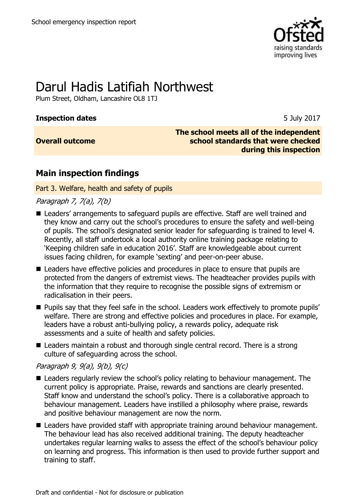

# Darul Hadis Latifiah Northwest

Plum Street, Oldham, Lancashire OL8 1TJ

#### **Inspection dates** 5 July 2017

#### **Overall outcome**

**The school meets all of the independent school standards that were checked during this inspection**

## **Main inspection findings**

Part 3. Welfare, health and safety of pupils

Paragraph 7, 7(a), 7(b)

- Leaders' arrangements to safeguard pupils are effective. Staff are well trained and they know and carry out the school's procedures to ensure the safety and well-being of pupils. The school's designated senior leader for safeguarding is trained to level 4. Recently, all staff undertook a local authority online training package relating to 'Keeping children safe in education 2016'. Staff are knowledgeable about current issues facing children, for example 'sexting' and peer-on-peer abuse.
- Leaders have effective policies and procedures in place to ensure that pupils are protected from the dangers of extremist views. The headteacher provides pupils with the information that they require to recognise the possible signs of extremism or radicalisation in their peers.
- **Pupils say that they feel safe in the school. Leaders work effectively to promote pupils'** welfare. There are strong and effective policies and procedures in place. For example, leaders have a robust anti-bullying policy, a rewards policy, adequate risk assessments and a suite of health and safety policies.
- Leaders maintain a robust and thorough single central record. There is a strong culture of safeguarding across the school.

#### Paragraph 9, 9(a), 9(b), 9(c)

- Leaders regularly review the school's policy relating to behaviour management. The current policy is appropriate. Praise, rewards and sanctions are clearly presented. Staff know and understand the school's policy. There is a collaborative approach to behaviour management. Leaders have instilled a philosophy where praise, rewards and positive behaviour management are now the norm.
- Leaders have provided staff with appropriate training around behaviour management. The behaviour lead has also received additional training. The deputy headteacher undertakes regular learning walks to assess the effect of the school's behaviour policy on learning and progress. This information is then used to provide further support and training to staff.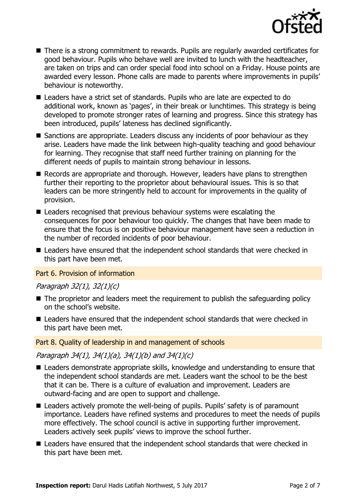

- There is a strong commitment to rewards. Pupils are regularly awarded certificates for good behaviour. Pupils who behave well are invited to lunch with the headteacher, are taken on trips and can order special food into school on a Friday. House points are awarded every lesson. Phone calls are made to parents where improvements in pupils' behaviour is noteworthy.
- Leaders have a strict set of standards. Pupils who are late are expected to do additional work, known as 'pages', in their break or lunchtimes. This strategy is being developed to promote stronger rates of learning and progress. Since this strategy has been introduced, pupils' lateness has declined significantly.
- Sanctions are appropriate. Leaders discuss any incidents of poor behaviour as they arise. Leaders have made the link between high-quality teaching and good behaviour for learning. They recognise that staff need further training on planning for the different needs of pupils to maintain strong behaviour in lessons.
- Records are appropriate and thorough. However, leaders have plans to strengthen further their reporting to the proprietor about behavioural issues. This is so that leaders can be more stringently held to account for improvements in the quality of provision.
- Leaders recognised that previous behaviour systems were escalating the consequences for poor behaviour too quickly. The changes that have been made to ensure that the focus is on positive behaviour management have seen a reduction in the number of recorded incidents of poor behaviour.
- Leaders have ensured that the independent school standards that were checked in this part have been met.

#### Part 6. Provision of information

#### Paragraph 32(1), 32(1)(c)

- The proprietor and leaders meet the requirement to publish the safeguarding policy on the school's website.
- Leaders have ensured that the independent school standards that were checked in this part have been met.

#### Part 8. Quality of leadership in and management of schools

Paragraph 34(1), 34(1)(a), 34(1)(b) and 34(1)(c)

- Leaders demonstrate appropriate skills, knowledge and understanding to ensure that the independent school standards are met. Leaders want the school to be the best that it can be. There is a culture of evaluation and improvement. Leaders are outward-facing and are open to support and challenge.
- Leaders actively promote the well-being of pupils. Pupils' safety is of paramount importance. Leaders have refined systems and procedures to meet the needs of pupils more effectively. The school council is active in supporting further improvement. Leaders actively seek pupils' views to improve the school further.
- Leaders have ensured that the independent school standards that were checked in this part have been met.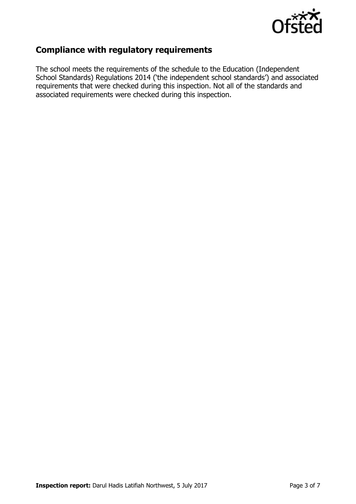

## **Compliance with regulatory requirements**

The school meets the requirements of the schedule to the Education (Independent School Standards) Regulations 2014 ('the independent school standards') and associated requirements that were checked during this inspection. Not all of the standards and associated requirements were checked during this inspection.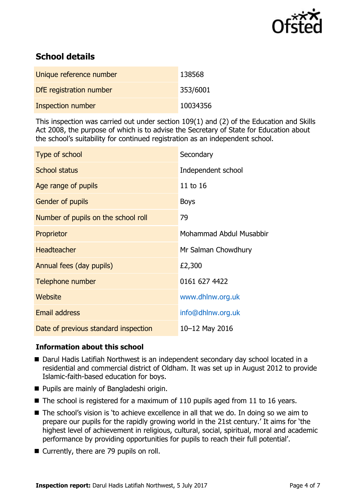

## **School details**

| Unique reference number | 138568   |
|-------------------------|----------|
| DfE registration number | 353/6001 |
| Inspection number       | 10034356 |

This inspection was carried out under section 109(1) and (2) of the Education and Skills Act 2008, the purpose of which is to advise the Secretary of State for Education about the school's suitability for continued registration as an independent school.

| Type of school                       | Secondary               |
|--------------------------------------|-------------------------|
| <b>School status</b>                 | Independent school      |
| Age range of pupils                  | 11 to 16                |
| <b>Gender of pupils</b>              | <b>Boys</b>             |
| Number of pupils on the school roll  | 79                      |
| Proprietor                           | Mohammad Abdul Musabbir |
| <b>Headteacher</b>                   | Mr Salman Chowdhury     |
| Annual fees (day pupils)             | £2,300                  |
| Telephone number                     | 0161 627 4422           |
| Website                              | www.dhlnw.org.uk        |
| <b>Email address</b>                 | info@dhlnw.org.uk       |
| Date of previous standard inspection | 10-12 May 2016          |

### **Information about this school**

- Darul Hadis Latifiah Northwest is an independent secondary day school located in a residential and commercial district of Oldham. It was set up in August 2012 to provide Islamic-faith-based education for boys.
- **Pupils are mainly of Bangladeshi origin.**
- $\blacksquare$  The school is registered for a maximum of 110 pupils aged from 11 to 16 years.
- The school's vision is 'to achieve excellence in all that we do. In doing so we aim to prepare our pupils for the rapidly growing world in the 21st century.' It aims for 'the highest level of achievement in religious, cultural, social, spiritual, moral and academic performance by providing opportunities for pupils to reach their full potential'.
- Currently, there are 79 pupils on roll.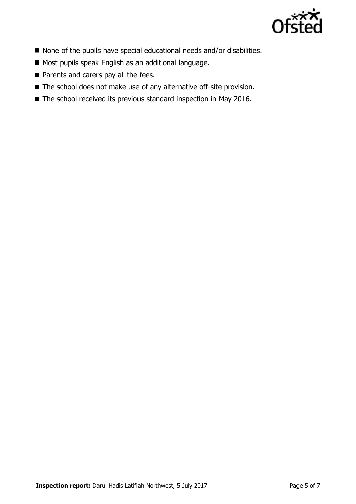

- None of the pupils have special educational needs and/or disabilities.
- Most pupils speak English as an additional language.
- Parents and carers pay all the fees.
- The school does not make use of any alternative off-site provision.
- The school received its previous standard inspection in May 2016.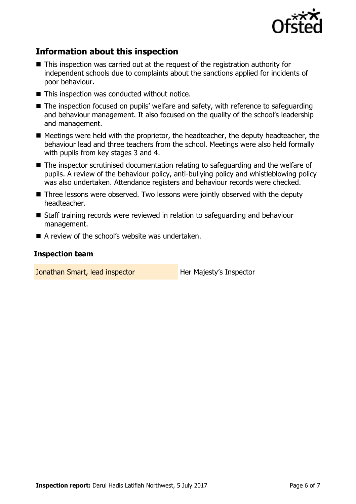

## **Information about this inspection**

- This inspection was carried out at the request of the registration authority for independent schools due to complaints about the sanctions applied for incidents of poor behaviour.
- This inspection was conducted without notice.
- The inspection focused on pupils' welfare and safety, with reference to safeguarding and behaviour management. It also focused on the quality of the school's leadership and management.
- Meetings were held with the proprietor, the headteacher, the deputy headteacher, the behaviour lead and three teachers from the school. Meetings were also held formally with pupils from key stages 3 and 4.
- The inspector scrutinised documentation relating to safeguarding and the welfare of pupils. A review of the behaviour policy, anti-bullying policy and whistleblowing policy was also undertaken. Attendance registers and behaviour records were checked.
- Three lessons were observed. Two lessons were jointly observed with the deputy headteacher.
- Staff training records were reviewed in relation to safeguarding and behaviour management.
- A review of the school's website was undertaken.

#### **Inspection team**

Jonathan Smart, lead inspector **Her Majesty's Inspector**